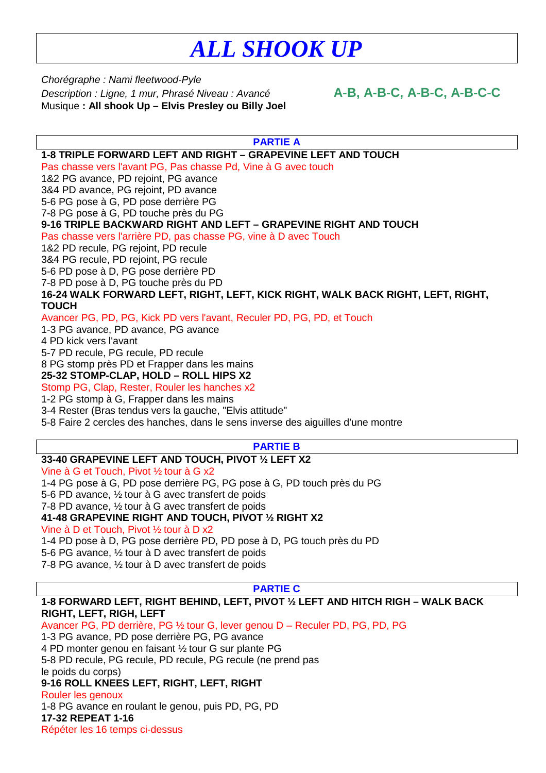## *ALL SHOOK UP*

Chorégraphe : Nami fleetwood-Pyle Description : Ligne, 1 mur, Phrasé Niveau : Avancé **A-B, A-B-C, A-B-C, A-B-C-C** Musique **: All shook Up – Elvis Presley ou Billy Joel**

| <b>PARTIE A</b>                                                                  |
|----------------------------------------------------------------------------------|
| 1-8 TRIPLE FORWARD LEFT AND RIGHT - GRAPEVINE LEFT AND TOUCH                     |
| Pas chasse vers l'avant PG, Pas chasse Pd, Vine à G avec touch                   |
| 1&2 PG avance, PD rejoint, PG avance                                             |
| 3&4 PD avance, PG rejoint, PD avance                                             |
| 5-6 PG pose à G, PD pose derrière PG                                             |
| 7-8 PG pose à G, PD touche près du PG                                            |
| 9-16 TRIPLE BACKWARD RIGHT AND LEFT - GRAPEVINE RIGHT AND TOUCH                  |
| Pas chasse vers l'arrière PD, pas chasse PG, vine à D avec Touch                 |
| 1&2 PD recule, PG rejoint, PD recule                                             |
| 3&4 PG recule, PD rejoint, PG recule                                             |
| 5-6 PD pose à D, PG pose derrière PD                                             |
| 7-8 PD pose à D, PG touche près du PD                                            |
| 16-24 WALK FORWARD LEFT, RIGHT, LEFT, KICK RIGHT, WALK BACK RIGHT, LEFT, RIGHT,  |
| <b>TOUCH</b>                                                                     |
| Avancer PG, PD, PG, Kick PD vers l'avant, Reculer PD, PG, PD, et Touch           |
| 1-3 PG avance, PD avance, PG avance                                              |
| 4 PD kick vers l'avant                                                           |
| 5-7 PD recule, PG recule, PD recule                                              |
| 8 PG stomp près PD et Frapper dans les mains                                     |
| 25-32 STOMP-CLAP, HOLD - ROLL HIPS X2                                            |
| Stomp PG, Clap, Rester, Rouler les hanches x2                                    |
| 1-2 PG stomp à G, Frapper dans les mains                                         |
| 3-4 Rester (Bras tendus vers la gauche, "Elvis attitude"                         |
| 5-8 Faire 2 cercles des hanches, dans le sens inverse des aiguilles d'une montre |
|                                                                                  |
| <b>PARTIE B</b>                                                                  |
| 33-40 GRAPEVINE LEFT AND TOUCH, PIVOT 1/2 LEFT X2                                |
| Vine à G et Touch, Pivot 1/2 tour à G x2                                         |
| 1-4 PG pose à G, PD pose derrière PG, PG pose à G, PD touch près du PG           |
| 5-6 PD avance, 1/2 tour à G avec transfert de poids                              |
| 7-8 PD avance, 1/2 tour à G avec transfert de poids                              |
| 41-48 GRAPEVINE RIGHT AND TOUCH, PIVOT 1/2 RIGHT X2                              |
| Vine à D et Touch, Pivot 1/2 tour à D x2                                         |
| 1-4 PD pose à D, PG pose derrière PD, PD pose à D, PG touch près du PD           |
| 5-6 PG avance, 1/2 tour à D avec transfert de poids                              |
| 7-8 PG avance, 1/2 tour à D avec transfert de poids                              |
| <b>PARTIE C</b>                                                                  |
| 1-8 FORWARD LEFT, RIGHT BEHIND, LEFT, PIVOT 1/2 LEFT AND HITCH RIGH - WALK BACK  |
| RIGHT, LEFT, RIGH, LEFT                                                          |
| Avancer PG, PD derrière, PG 1/2 tour G, lever genou D - Reculer PD, PG, PD, PG   |
| 1-3 PG avance, PD pose derrière PG, PG avance                                    |
| 4 PD monter genou en faisant 1/2 tour G sur plante PG                            |
| 5-8 PD recule, PG recule, PD recule, PG recule (ne prend pas                     |

le poids du corps)

## **9-16 ROLL KNEES LEFT, RIGHT, LEFT, RIGHT**

Rouler les genoux

1-8 PG avance en roulant le genou, puis PD, PG, PD **17-32 REPEAT 1-16** 

Répéter les 16 temps ci-dessus